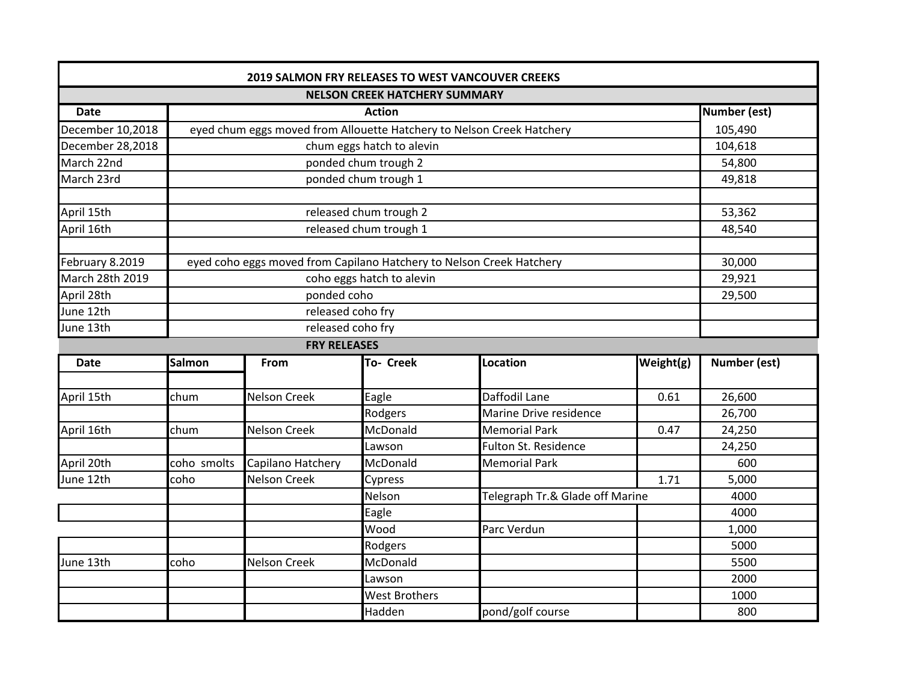| <b>2019 SALMON FRY RELEASES TO WEST VANCOUVER CREEKS</b> |                                                                       |                     |                      |                        |                                 |              |
|----------------------------------------------------------|-----------------------------------------------------------------------|---------------------|----------------------|------------------------|---------------------------------|--------------|
| <b>NELSON CREEK HATCHERY SUMMARY</b>                     |                                                                       |                     |                      |                        |                                 |              |
| <b>Date</b>                                              | <b>Action</b>                                                         |                     |                      |                        |                                 | Number (est) |
| December 10,2018                                         | eyed chum eggs moved from Allouette Hatchery to Nelson Creek Hatchery |                     |                      |                        |                                 | 105,490      |
| December 28,2018                                         | chum eggs hatch to alevin                                             |                     |                      |                        |                                 | 104,618      |
| March 22nd                                               | ponded chum trough 2                                                  |                     |                      |                        |                                 | 54,800       |
| March 23rd                                               | ponded chum trough 1                                                  |                     |                      |                        |                                 | 49,818       |
|                                                          |                                                                       |                     |                      |                        |                                 |              |
| April 15th                                               | released chum trough 2                                                |                     |                      |                        |                                 | 53,362       |
| April 16th                                               | released chum trough 1                                                |                     |                      |                        |                                 | 48,540       |
|                                                          |                                                                       |                     |                      |                        |                                 |              |
| February 8.2019                                          | eyed coho eggs moved from Capilano Hatchery to Nelson Creek Hatchery  |                     |                      |                        |                                 | 30,000       |
| March 28th 2019                                          | coho eggs hatch to alevin                                             |                     |                      |                        |                                 | 29,921       |
| April 28th                                               | ponded coho                                                           |                     |                      |                        |                                 | 29,500       |
| June 12th                                                | released coho fry                                                     |                     |                      |                        |                                 |              |
| June 13th                                                | released coho fry                                                     |                     |                      |                        |                                 |              |
| <b>FRY RELEASES</b>                                      |                                                                       |                     |                      |                        |                                 |              |
| <b>Date</b>                                              | <b>Salmon</b>                                                         | <b>From</b>         | To- Creek            | Location               | Weight(g)                       | Number (est) |
| April 15th                                               | chum                                                                  | <b>Nelson Creek</b> | Eagle                | Daffodil Lane          | 0.61                            | 26,600       |
|                                                          |                                                                       |                     | Rodgers              | Marine Drive residence |                                 | 26,700       |
| April 16th                                               | chum                                                                  | <b>Nelson Creek</b> | McDonald             | <b>Memorial Park</b>   | 0.47                            | 24,250       |
|                                                          |                                                                       |                     | Lawson               | Fulton St. Residence   |                                 | 24,250       |
| April 20th                                               | coho smolts                                                           | Capilano Hatchery   | McDonald             | <b>Memorial Park</b>   |                                 | 600          |
| June 12th                                                | coho                                                                  | <b>Nelson Creek</b> | Cypress              |                        | 1.71                            | 5,000        |
|                                                          |                                                                       |                     | Nelson               |                        | Telegraph Tr.& Glade off Marine |              |
|                                                          |                                                                       |                     | Eagle                |                        |                                 | 4000         |
|                                                          |                                                                       |                     | Wood                 | Parc Verdun            |                                 | 1,000        |
|                                                          |                                                                       |                     | Rodgers              |                        |                                 | 5000         |
| June 13th                                                | coho                                                                  | <b>Nelson Creek</b> | McDonald             |                        |                                 | 5500         |
|                                                          |                                                                       |                     | Lawson               |                        |                                 | 2000         |
|                                                          |                                                                       |                     | <b>West Brothers</b> |                        |                                 | 1000         |
|                                                          |                                                                       |                     | Hadden               | pond/golf course       |                                 | 800          |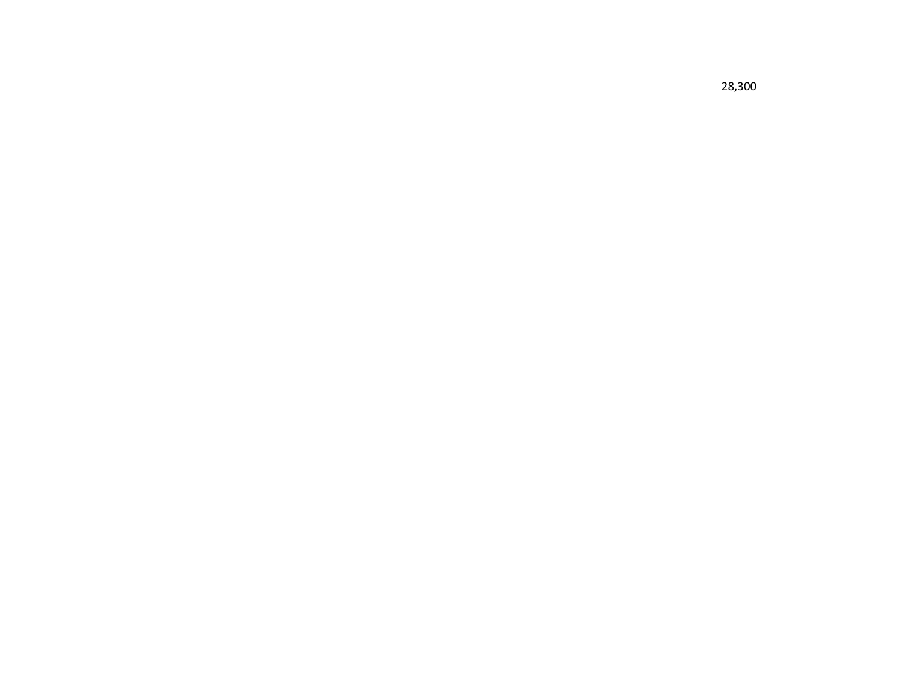28,300